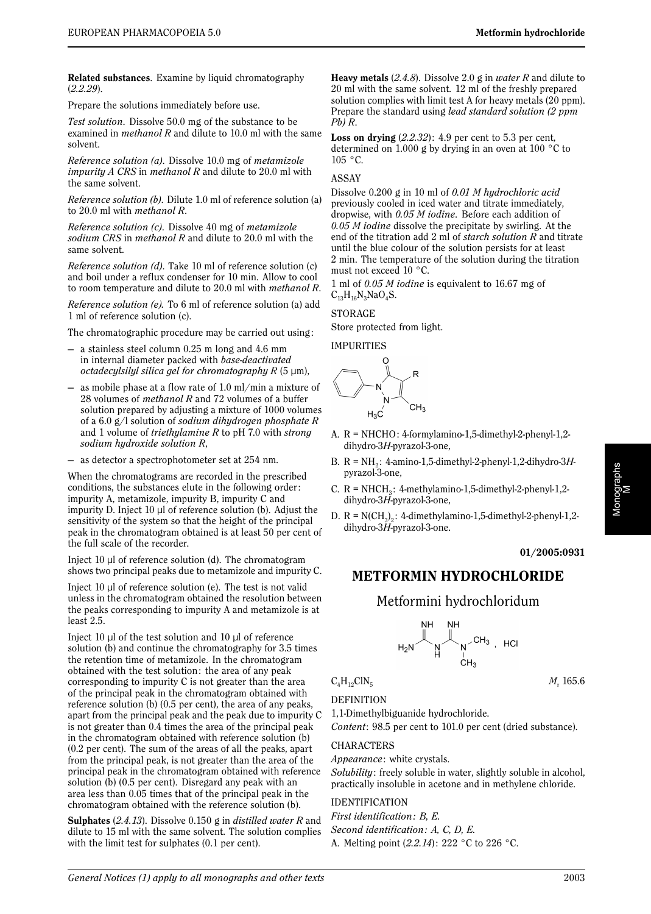**Related substances**. Examine by liquid chromatography (*2.2.29*).

Prepare the solutions immediately before use.

*Test solution*. Dissolve 50.0 mg of the substance to be examined in *methanol R* and dilute to 10.0 ml with the same solvent.

*Reference solution (a)*. Dissolve 10.0 mg of *metamizole impurity A CRS* in *methanol R* and dilute to 20.0 ml with the same solvent.

*Reference solution (b)*. Dilute 1.0 ml of reference solution (a) to 20.0 ml with *methanol R*.

*Reference solution (c)*. Dissolve 40 mg of *metamizole sodium CRS* in *methanol R* and dilute to 20.0 ml with the same solvent.

*Reference solution (d)*. Take 10 ml of reference solution (c) and boil under a reflux condenser for 10 min. Allow to cool to room temperature and dilute to 20.0 ml with *methanol R*.

*Reference solution (e).* To 6 ml of reference solution (a) add 1 ml of reference solution (c).

The chromatographic procedure may be carried out using:

- a stainless steel column 0.25 m long and 4.6 mm in internal diameter packed with *base-deactivated octadecylsilyl silica gel for chromatography R* (5 µm),
- as mobile phase at a flow rate of  $1.0 \text{ ml/min}$  a mixture of 28 volumes of *methanol R* and 72 volumes of a buffer solution prepared by adjusting a mixture of 1000 volumes of a 6.0 g/l solution of *sodium dihydrogen phosphate R* and 1 volume of *triethylamine R* to pH 7.0 with *strong sodium hydroxide solution R*,
- as detector a spectrophotometer set at 254 nm.

When the chromatograms are recorded in the prescribed conditions, the substances elute in the following order: impurity A, metamizole, impurity B, impurity C and impurity D. Inject 10 µl of reference solution (b). Adjust the sensitivity of the system so that the height of the principal peak in the chromatogram obtained is at least 50 per cent of the full scale of the recorder.

Inject  $10 \mu$  of reference solution (d). The chromatogram shows two principal peaks due to metamizole and impurity C.

Inject 10 µl of reference solution (e). The test is not valid unless in the chromatogram obtained the resolution between the peaks corresponding to impurity A and metamizole is at least 2.5.

Inject 10  $\mu$ l of the test solution and 10  $\mu$ l of reference solution (b) and continue the chromatography for 3.5 times the retention time of metamizole. In the chromatogram obtained with the test solution: the area of any peak corresponding to impurity C is not greater than the area of the principal peak in the chromatogram obtained with reference solution (b) (0.5 per cent), the area of any peaks, apart from the principal peak and the peak due to impurity C is not greater than 0.4 times the area of the principal peak in the chromatogram obtained with reference solution (b) (0.2 per cent). The sum of the areas of all the peaks, apart from the principal peak, is not greater than the area of the principal peak in the chromatogram obtained with reference solution (b) (0.5 per cent). Disregard any peak with an area less than 0.05 times that of the principal peak in the chromatogram obtained with the reference solution (b).

**Sulphates** (*2.4.13*). Dissolve 0.150 g in *distilled water R* and dilute to 15 ml with the same solvent. The solution complies with the limit test for sulphates (0.1 per cent).

**Heavy metals** (*2.4.8*). Dissolve 2.0 g in *water R* and dilute to 20 ml with the same solvent. 12 ml of the freshly prepared solution complies with limit test A for heavy metals (20 ppm). Prepare the standard using *lead standard solution (2 ppm Pb) R*.

**Loss on drying** (*2.2.32*): 4.9 per cent to 5.3 per cent, determined on 1.000 g by drying in an oven at 100 °C to  $105 \text{ °C}$ .

#### ASSAY

Dissolve 0.200 g in 10 ml of *0.01 M hydrochloric acid* previously cooled in iced water and titrate immediately, dropwise, with *0.05 M iodine*. Before each addition of *0.05 M iodine* dissolve the precipitate by swirling. At the end of the titration add 2 ml of *starch solution R* and titrate until the blue colour of the solution persists for at least 2 min. The temperature of the solution during the titration must not exceed 10 °C.

1 ml of *0.05 M iodine* is equivalent to 16.67 mg of  $C_{13}H_{16}N_3NaO_4S.$ 

## **STORAGE**

Store protected from light.

IMPURITIES



- A. R = NHCHO: 4-formylamino-1,5-dimethyl-2-phenyl-1,2 dihydro-3*H*-pyrazol-3-one,
- B. R = NH2 : 4-amino-1,5-dimethyl-2-phenyl-1,2-dihydro-3*H*pyrazol-3-one,
- C.  $R = NHCH_3$ : 4-methylamino-1,5-dimethyl-2-phenyl-1,2dihydro-3*H*-pyrazol-3-one,
- D.  $R = N(CH_2)$ : 4-dimethylamino-1,5-dimethyl-2-phenyl-1,2dihydro-3*H*-pyrazol-3-one.

### **01/2005:0931**

# **METFORMIN HYDROCHLORIDE**

# Metformini hydrochloridum

$$
H_2N \overset{\text{NH}}{\underset{\text{H}}{\bigcup}} \overset{\text{NH}}{\underset{\text{CH}_3}{\bigcup}} \overset{\text{NH}}{\underset{\text{CH}_3}{\bigcup}} \cdot
$$
 HCI

 $C_4H_{12}CIN_5$  *M<sub>r</sub>* 165.6

**DEFINITION** 1,1-Dimethylbiguanide hydrochloride.

*Content*: 98.5 per cent to 101.0 per cent (dried substance).

### CHARACTERS

*Appearance*: white crystals.

*Solubility*: freely soluble in water, slightly soluble in alcohol, practically insoluble in acetone and in methylene chloride.

### IDENTIFICATION

*First identification: B, E. Second identification: A, C, D, E.* A. Melting point (*2.2.14*): 222 °C to 226 °C.